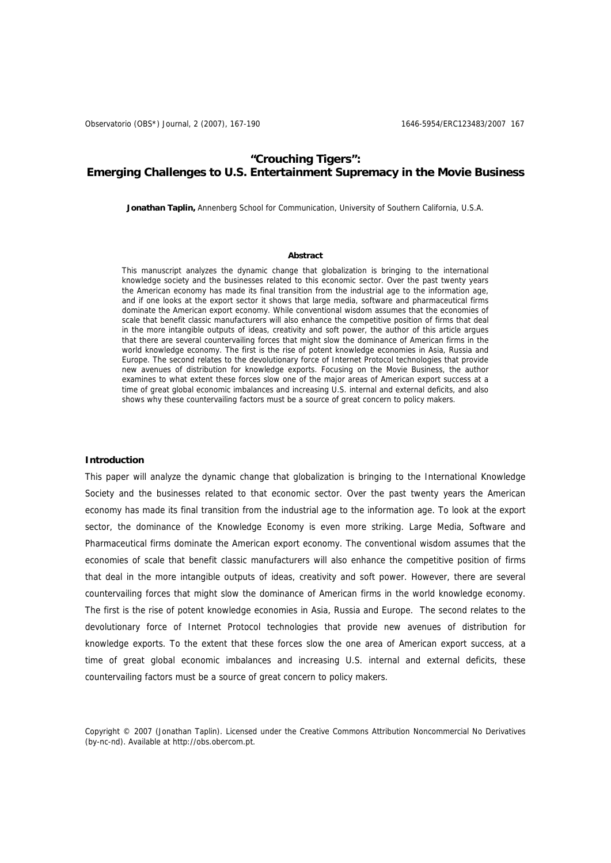## **"Crouching Tigers": Emerging Challenges to U.S. Entertainment Supremacy in the Movie Business**

**Jonathan Taplin,** Annenberg School for Communication, University of Southern California, U.S.A.

### **Abstract**

This manuscript analyzes the dynamic change that globalization is bringing to the international knowledge society and the businesses related to this economic sector. Over the past twenty years the American economy has made its final transition from the industrial age to the information age, and if one looks at the export sector it shows that large media, software and pharmaceutical firms dominate the American export economy. While conventional wisdom assumes that the economies of scale that benefit classic manufacturers will also enhance the competitive position of firms that deal in the more intangible outputs of ideas, creativity and soft power, the author of this article argues that there are several countervailing forces that might slow the dominance of American firms in the world knowledge economy. The first is the rise of potent knowledge economies in Asia, Russia and Europe. The second relates to the devolutionary force of Internet Protocol technologies that provide new avenues of distribution for knowledge exports. Focusing on the Movie Business, the author examines to what extent these forces slow one of the major areas of American export success at a time of great global economic imbalances and increasing U.S. internal and external deficits, and also shows why these countervailing factors must be a source of great concern to policy makers.

### **Introduction**

This paper will analyze the dynamic change that globalization is bringing to the International Knowledge Society and the businesses related to that economic sector. Over the past twenty years the American economy has made its final transition from the industrial age to the information age. To look at the export sector, the dominance of the Knowledge Economy is even more striking. Large Media, Software and Pharmaceutical firms dominate the American export economy. The conventional wisdom assumes that the economies of scale that benefit classic manufacturers will also enhance the competitive position of firms that deal in the more intangible outputs of ideas, creativity and soft power. However, there are several countervailing forces that might slow the dominance of American firms in the world knowledge economy. The first is the rise of potent knowledge economies in Asia, Russia and Europe. The second relates to the devolutionary force of Internet Protocol technologies that provide new avenues of distribution for knowledge exports. To the extent that these forces slow the one area of American export success, at a time of great global economic imbalances and increasing U.S. internal and external deficits, these countervailing factors must be a source of great concern to policy makers.

Copyright © 2007 (Jonathan Taplin). Licensed under the Creative Commons Attribution Noncommercial No Derivatives (by-nc-nd). Available at http://obs.obercom.pt.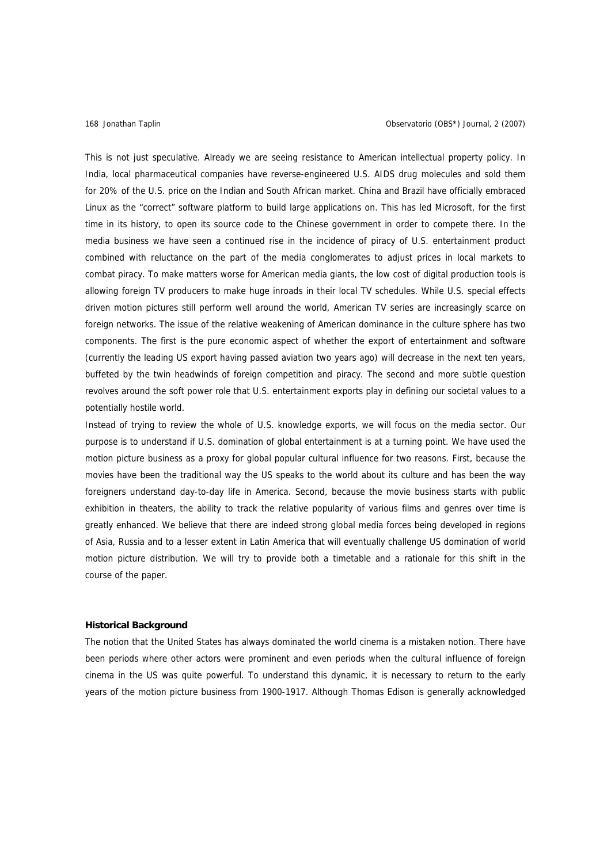This is not just speculative. Already we are seeing resistance to American intellectual property policy. In India, local pharmaceutical companies have reverse-engineered U.S. AIDS drug molecules and sold them for 20% of the U.S. price on the Indian and South African market. China and Brazil have officially embraced Linux as the "correct" software platform to build large applications on. This has led Microsoft, for the first time in its history, to open its source code to the Chinese government in order to compete there. In the media business we have seen a continued rise in the incidence of piracy of U.S. entertainment product combined with reluctance on the part of the media conglomerates to adjust prices in local markets to combat piracy. To make matters worse for American media giants, the low cost of digital production tools is allowing foreign TV producers to make huge inroads in their local TV schedules. While U.S. special effects driven motion pictures still perform well around the world, American TV series are increasingly scarce on foreign networks. The issue of the relative weakening of American dominance in the culture sphere has two components. The first is the pure economic aspect of whether the export of entertainment and software (currently the leading US export having passed aviation two years ago) will decrease in the next ten years, buffeted by the twin headwinds of foreign competition and piracy. The second and more subtle question revolves around the soft power role that U.S. entertainment exports play in defining our societal values to a potentially hostile world.

Instead of trying to review the whole of U.S. knowledge exports, we will focus on the media sector. Our purpose is to understand if U.S. domination of global entertainment is at a turning point. We have used the motion picture business as a proxy for global popular cultural influence for two reasons. First, because the movies have been the traditional way the US speaks to the world about its culture and has been the way foreigners understand day-to-day life in America. Second, because the movie business starts with public exhibition in theaters, the ability to track the relative popularity of various films and genres over time is greatly enhanced. We believe that there are indeed strong global media forces being developed in regions of Asia, Russia and to a lesser extent in Latin America that will eventually challenge US domination of world motion picture distribution. We will try to provide both a timetable and a rationale for this shift in the course of the paper.

### **Historical Background**

The notion that the United States has always dominated the world cinema is a mistaken notion. There have been periods where other actors were prominent and even periods when the cultural influence of foreign cinema in the US was quite powerful. To understand this dynamic, it is necessary to return to the early years of the motion picture business from 1900-1917. Although Thomas Edison is generally acknowledged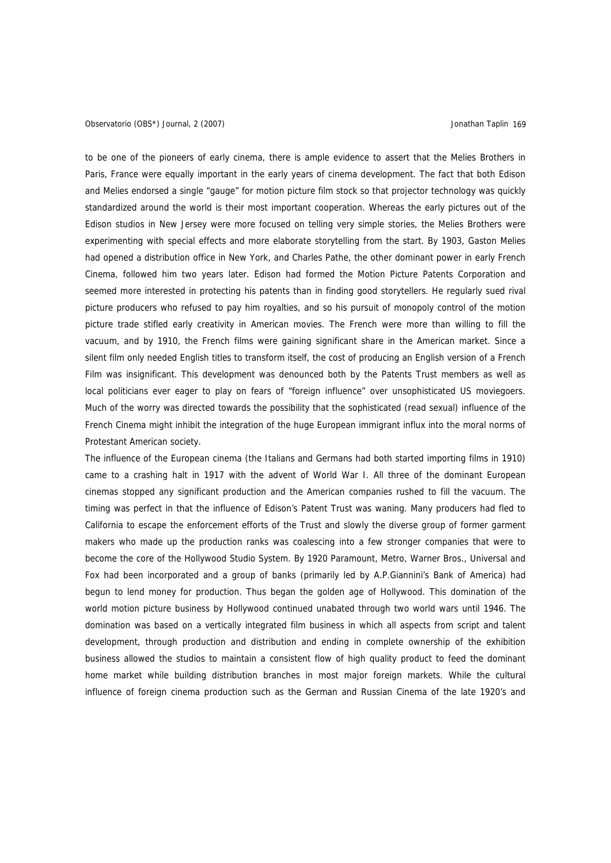### Observatorio (OBS\*) Journal, 2 (2007) Jonathan Taplin 169

to be one of the pioneers of early cinema, there is ample evidence to assert that the Melies Brothers in Paris, France were equally important in the early years of cinema development. The fact that both Edison and Melies endorsed a single "gauge" for motion picture film stock so that projector technology was quickly standardized around the world is their most important cooperation. Whereas the early pictures out of the Edison studios in New Jersey were more focused on telling very simple stories, the Melies Brothers were experimenting with special effects and more elaborate storytelling from the start. By 1903, Gaston Melies had opened a distribution office in New York, and Charles Pathe, the other dominant power in early French Cinema, followed him two years later. Edison had formed the Motion Picture Patents Corporation and seemed more interested in protecting his patents than in finding good storytellers. He regularly sued rival picture producers who refused to pay him royalties, and so his pursuit of monopoly control of the motion picture trade stifled early creativity in American movies. The French were more than willing to fill the vacuum, and by 1910, the French films were gaining significant share in the American market. Since a silent film only needed English titles to transform itself, the cost of producing an English version of a French Film was insignificant. This development was denounced both by the Patents Trust members as well as local politicians ever eager to play on fears of "foreign influence" over unsophisticated US moviegoers. Much of the worry was directed towards the possibility that the sophisticated (read sexual) influence of the French Cinema might inhibit the integration of the huge European immigrant influx into the moral norms of Protestant American society.

The influence of the European cinema (the Italians and Germans had both started importing films in 1910) came to a crashing halt in 1917 with the advent of World War I. All three of the dominant European cinemas stopped any significant production and the American companies rushed to fill the vacuum. The timing was perfect in that the influence of Edison's Patent Trust was waning. Many producers had fled to California to escape the enforcement efforts of the Trust and slowly the diverse group of former garment makers who made up the production ranks was coalescing into a few stronger companies that were to become the core of the Hollywood Studio System. By 1920 Paramount, Metro, Warner Bros., Universal and Fox had been incorporated and a group of banks (primarily led by A.P.Giannini's Bank of America) had begun to lend money for production. Thus began the golden age of Hollywood. This domination of the world motion picture business by Hollywood continued unabated through two world wars until 1946. The domination was based on a vertically integrated film business in which all aspects from script and talent development, through production and distribution and ending in complete ownership of the exhibition business allowed the studios to maintain a consistent flow of high quality product to feed the dominant home market while building distribution branches in most major foreign markets. While the cultural influence of foreign cinema production such as the German and Russian Cinema of the late 1920's and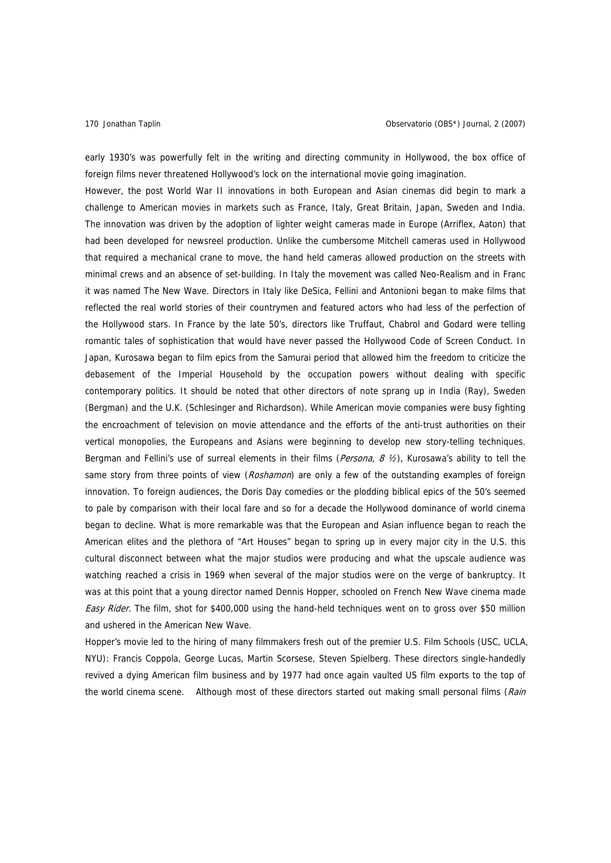early 1930's was powerfully felt in the writing and directing community in Hollywood, the box office of foreign films never threatened Hollywood's lock on the international movie going imagination.

However, the post World War II innovations in both European and Asian cinemas did begin to mark a challenge to American movies in markets such as France, Italy, Great Britain, Japan, Sweden and India. The innovation was driven by the adoption of lighter weight cameras made in Europe (Arriflex, Aaton) that had been developed for newsreel production. Unlike the cumbersome Mitchell cameras used in Hollywood that required a mechanical crane to move, the hand held cameras allowed production on the streets with minimal crews and an absence of set-building. In Italy the movement was called Neo-Realism and in Franc it was named The New Wave. Directors in Italy like DeSica, Fellini and Antonioni began to make films that reflected the real world stories of their countrymen and featured actors who had less of the perfection of the Hollywood stars. In France by the late 50's, directors like Truffaut, Chabrol and Godard were telling romantic tales of sophistication that would have never passed the Hollywood Code of Screen Conduct. In Japan, Kurosawa began to film epics from the Samurai period that allowed him the freedom to criticize the debasement of the Imperial Household by the occupation powers without dealing with specific contemporary politics. It should be noted that other directors of note sprang up in India (Ray), Sweden (Bergman) and the U.K. (Schlesinger and Richardson). While American movie companies were busy fighting the encroachment of television on movie attendance and the efforts of the anti-trust authorities on their vertical monopolies, the Europeans and Asians were beginning to develop new story-telling techniques. Bergman and Fellini's use of surreal elements in their films (Persona, 8  $1/2$ ), Kurosawa's ability to tell the same story from three points of view (Roshamon) are only a few of the outstanding examples of foreign innovation. To foreign audiences, the Doris Day comedies or the plodding biblical epics of the 50's seemed to pale by comparison with their local fare and so for a decade the Hollywood dominance of world cinema began to decline. What is more remarkable was that the European and Asian influence began to reach the American elites and the plethora of "Art Houses" began to spring up in every major city in the U.S. this cultural disconnect between what the major studios were producing and what the upscale audience was watching reached a crisis in 1969 when several of the major studios were on the verge of bankruptcy. It was at this point that a young director named Dennis Hopper, schooled on French New Wave cinema made Easy Rider. The film, shot for \$400,000 using the hand-held techniques went on to gross over \$50 million and ushered in the American New Wave.

Hopper's movie led to the hiring of many filmmakers fresh out of the premier U.S. Film Schools (USC, UCLA, NYU): Francis Coppola, George Lucas, Martin Scorsese, Steven Spielberg. These directors single-handedly revived a dying American film business and by 1977 had once again vaulted US film exports to the top of the world cinema scene. Although most of these directors started out making small personal films (Rain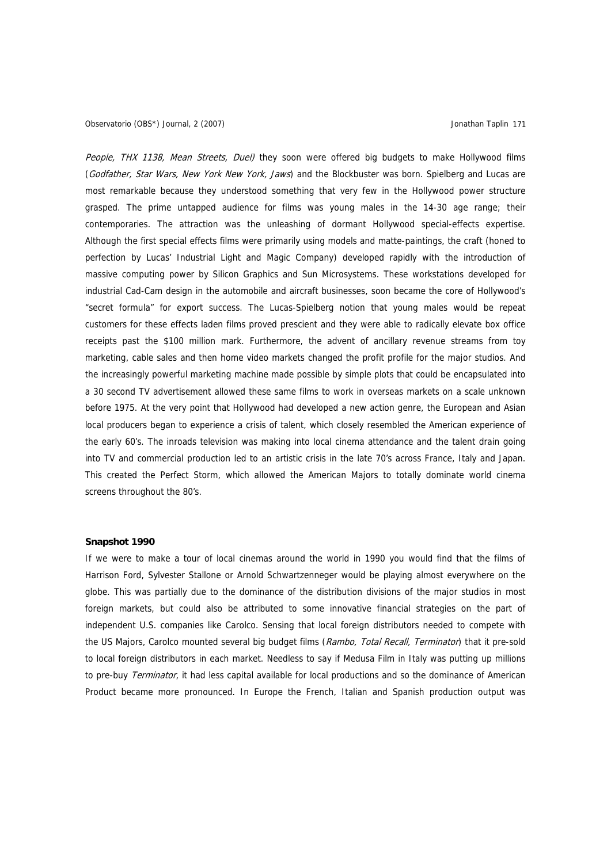People, THX 1138, Mean Streets, Duel) they soon were offered big budgets to make Hollywood films (Godfather, Star Wars, New York New York, Jaws) and the Blockbuster was born. Spielberg and Lucas are most remarkable because they understood something that very few in the Hollywood power structure grasped. The prime untapped audience for films was young males in the 14-30 age range; their contemporaries. The attraction was the unleashing of dormant Hollywood special-effects expertise. Although the first special effects films were primarily using models and matte-paintings, the craft (honed to perfection by Lucas' Industrial Light and Magic Company) developed rapidly with the introduction of massive computing power by Silicon Graphics and Sun Microsystems. These workstations developed for industrial Cad-Cam design in the automobile and aircraft businesses, soon became the core of Hollywood's "secret formula" for export success. The Lucas-Spielberg notion that young males would be repeat customers for these effects laden films proved prescient and they were able to radically elevate box office receipts past the \$100 million mark. Furthermore, the advent of ancillary revenue streams from toy marketing, cable sales and then home video markets changed the profit profile for the major studios. And the increasingly powerful marketing machine made possible by simple plots that could be encapsulated into a 30 second TV advertisement allowed these same films to work in overseas markets on a scale unknown before 1975. At the very point that Hollywood had developed a new action genre, the European and Asian local producers began to experience a crisis of talent, which closely resembled the American experience of the early 60's. The inroads television was making into local cinema attendance and the talent drain going into TV and commercial production led to an artistic crisis in the late 70's across France, Italy and Japan. This created the Perfect Storm, which allowed the American Majors to totally dominate world cinema screens throughout the 80's.

### **Snapshot 1990**

If we were to make a tour of local cinemas around the world in 1990 you would find that the films of Harrison Ford, Sylvester Stallone or Arnold Schwartzenneger would be playing almost everywhere on the globe. This was partially due to the dominance of the distribution divisions of the major studios in most foreign markets, but could also be attributed to some innovative financial strategies on the part of independent U.S. companies like Carolco. Sensing that local foreign distributors needed to compete with the US Majors, Carolco mounted several big budget films (Rambo, Total Recall, Terminator) that it pre-sold to local foreign distributors in each market. Needless to say if Medusa Film in Italy was putting up millions to pre-buy Terminator, it had less capital available for local productions and so the dominance of American Product became more pronounced. In Europe the French, Italian and Spanish production output was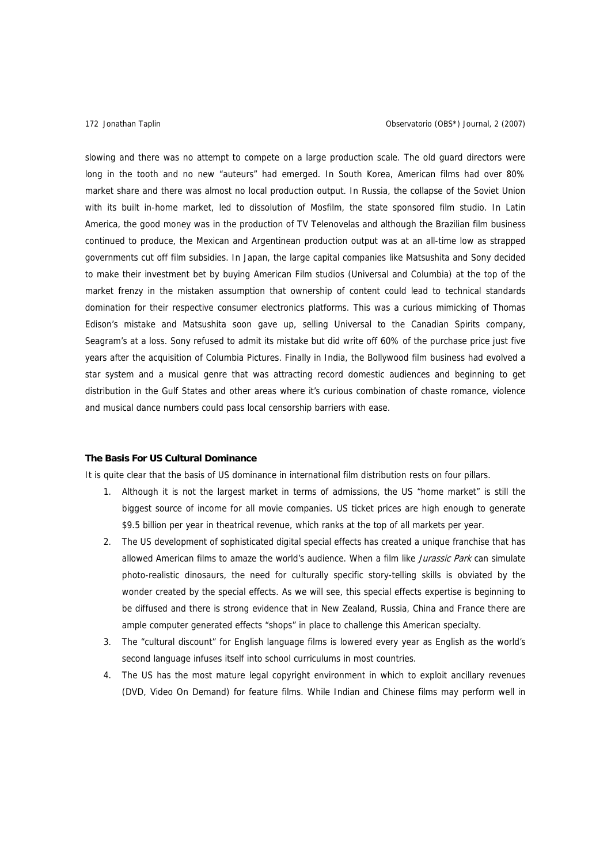slowing and there was no attempt to compete on a large production scale. The old guard directors were long in the tooth and no new "auteurs" had emerged. In South Korea, American films had over 80% market share and there was almost no local production output. In Russia, the collapse of the Soviet Union with its built in-home market, led to dissolution of Mosfilm, the state sponsored film studio. In Latin America, the good money was in the production of TV Telenovelas and although the Brazilian film business continued to produce, the Mexican and Argentinean production output was at an all-time low as strapped governments cut off film subsidies. In Japan, the large capital companies like Matsushita and Sony decided to make their investment bet by buying American Film studios (Universal and Columbia) at the top of the market frenzy in the mistaken assumption that ownership of content could lead to technical standards domination for their respective consumer electronics platforms. This was a curious mimicking of Thomas Edison's mistake and Matsushita soon gave up, selling Universal to the Canadian Spirits company, Seagram's at a loss. Sony refused to admit its mistake but did write off 60% of the purchase price just five years after the acquisition of Columbia Pictures. Finally in India, the Bollywood film business had evolved a star system and a musical genre that was attracting record domestic audiences and beginning to get distribution in the Gulf States and other areas where it's curious combination of chaste romance, violence and musical dance numbers could pass local censorship barriers with ease.

### **The Basis For US Cultural Dominance**

It is quite clear that the basis of US dominance in international film distribution rests on four pillars.

- 1. Although it is not the largest market in terms of admissions, the US "home market" is still the biggest source of income for all movie companies. US ticket prices are high enough to generate \$9.5 billion per year in theatrical revenue, which ranks at the top of all markets per year.
- 2. The US development of sophisticated digital special effects has created a unique franchise that has allowed American films to amaze the world's audience. When a film like *Jurassic Park* can simulate photo-realistic dinosaurs, the need for culturally specific story-telling skills is obviated by the wonder created by the special effects. As we will see, this special effects expertise is beginning to be diffused and there is strong evidence that in New Zealand, Russia, China and France there are ample computer generated effects "shops" in place to challenge this American specialty.
- 3. The "cultural discount" for English language films is lowered every year as English as the world's second language infuses itself into school curriculums in most countries.
- 4. The US has the most mature legal copyright environment in which to exploit ancillary revenues (DVD, Video On Demand) for feature films. While Indian and Chinese films may perform well in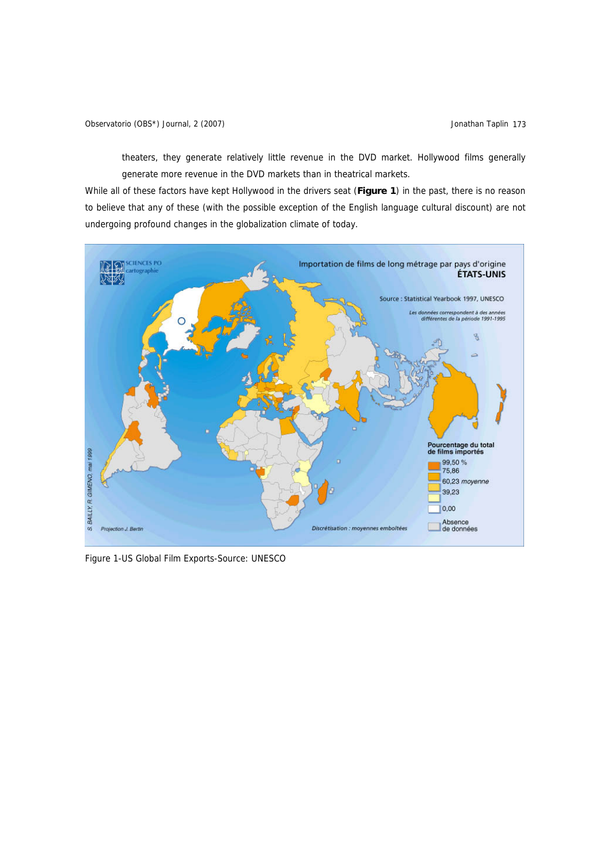theaters, they generate relatively little revenue in the DVD market. Hollywood films generally generate more revenue in the DVD markets than in theatrical markets.

While all of these factors have kept Hollywood in the drivers seat (**Figure 1**) in the past, there is no reason to believe that any of these (with the possible exception of the English language cultural discount) are not undergoing profound changes in the globalization climate of today.



Figure 1-US Global Film Exports-Source: UNESCO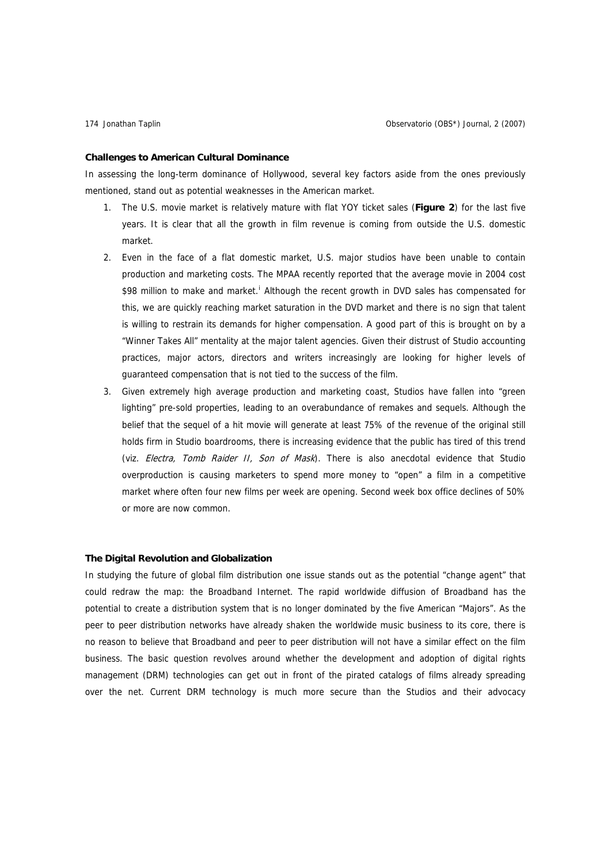### **Challenges to American Cultural Dominance**

In assessing the long-term dominance of Hollywood, several key factors aside from the ones previously mentioned, stand out as potential weaknesses in the American market.

- 1. The U.S. movie market is relatively mature with flat YOY ticket sales (**Figure 2**) for the last five years. It is clear that all the growth in film revenue is coming from outside the U.S. domestic market.
- 2. Even in the face of a flat domestic market, U.S. major studios have been unable to contain production and marketing costs. The MPAA recently reported that the average movie in 2004 cost \$98 m[i](#page-23-0)llion to make and market.<sup>i</sup> Although the recent growth in DVD sales has compensated for this, we are quickly reaching market saturation in the DVD market and there is no sign that talent is willing to restrain its demands for higher compensation. A good part of this is brought on by a "Winner Takes All" mentality at the major talent agencies. Given their distrust of Studio accounting practices, major actors, directors and writers increasingly are looking for higher levels of guaranteed compensation that is not tied to the success of the film.
- 3. Given extremely high average production and marketing coast, Studios have fallen into "green lighting" pre-sold properties, leading to an overabundance of remakes and sequels. Although the belief that the sequel of a hit movie will generate at least 75% of the revenue of the original still holds firm in Studio boardrooms, there is increasing evidence that the public has tired of this trend (viz. Electra, Tomb Raider II, Son of Mask). There is also anecdotal evidence that Studio overproduction is causing marketers to spend more money to "open" a film in a competitive market where often four new films per week are opening. Second week box office declines of 50% or more are now common.

### **The Digital Revolution and Globalization**

In studying the future of global film distribution one issue stands out as the potential "change agent" that could redraw the map: the Broadband Internet. The rapid worldwide diffusion of Broadband has the potential to create a distribution system that is no longer dominated by the five American "Majors". As the peer to peer distribution networks have already shaken the worldwide music business to its core, there is no reason to believe that Broadband and peer to peer distribution will not have a similar effect on the film business. The basic question revolves around whether the development and adoption of digital rights management (DRM) technologies can get out in front of the pirated catalogs of films already spreading over the net. Current DRM technology is much more secure than the Studios and their advocacy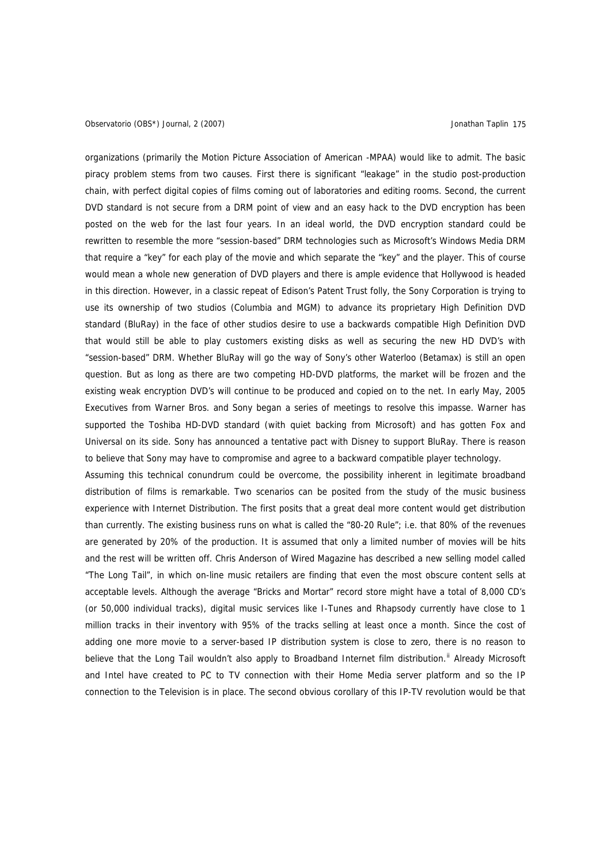### Observatorio (OBS\*) Journal, 2 (2007) Jonathan Taplin 175

organizations (primarily the Motion Picture Association of American -MPAA) would like to admit. The basic piracy problem stems from two causes. First there is significant "leakage" in the studio post-production chain, with perfect digital copies of films coming out of laboratories and editing rooms. Second, the current DVD standard is not secure from a DRM point of view and an easy hack to the DVD encryption has been posted on the web for the last four years. In an ideal world, the DVD encryption standard could be rewritten to resemble the more "session-based" DRM technologies such as Microsoft's Windows Media DRM that require a "key" for each play of the movie and which separate the "key" and the player. This of course would mean a whole new generation of DVD players and there is ample evidence that Hollywood is headed in this direction. However, in a classic repeat of Edison's Patent Trust folly, the Sony Corporation is trying to use its ownership of two studios (Columbia and MGM) to advance its proprietary High Definition DVD standard (BluRay) in the face of other studios desire to use a backwards compatible High Definition DVD that would still be able to play customers existing disks as well as securing the new HD DVD's with "session-based" DRM. Whether BluRay will go the way of Sony's other Waterloo (Betamax) is still an open question. But as long as there are two competing HD-DVD platforms, the market will be frozen and the existing weak encryption DVD's will continue to be produced and copied on to the net. In early May, 2005 Executives from Warner Bros. and Sony began a series of meetings to resolve this impasse. Warner has supported the Toshiba HD-DVD standard (with quiet backing from Microsoft) and has gotten Fox and Universal on its side. Sony has announced a tentative pact with Disney to support BluRay. There is reason to believe that Sony may have to compromise and agree to a backward compatible player technology.

Assuming this technical conundrum could be overcome, the possibility inherent in legitimate broadband distribution of films is remarkable. Two scenarios can be posited from the study of the music business experience with Internet Distribution. The first posits that a great deal more content would get distribution than currently. The existing business runs on what is called the "80-20 Rule"; i.e. that 80% of the revenues are generated by 20% of the production. It is assumed that only a limited number of movies will be hits and the rest will be written off. Chris Anderson of Wired Magazine has described a new selling model called "The Long Tail", in which on-line music retailers are finding that even the most obscure content sells at acceptable levels. Although the average "Bricks and Mortar" record store might have a total of 8,000 CD's (or 50,000 individual tracks), digital music services like I-Tunes and Rhapsody currently have close to 1 million tracks in their inventory with 95% of the tracks selling at least once a month. Since the cost of adding one more movie to a server-based IP distribution system is close to zero, there is no reason to believe that the Long Tail wouldn't also apply to Broadband Internet film distribution.<sup>[ii](#page-23-1)</sup> Already Microsoft and Intel have created to PC to TV connection with their Home Media server platform and so the IP connection to the Television is in place. The second obvious corollary of this IP-TV revolution would be that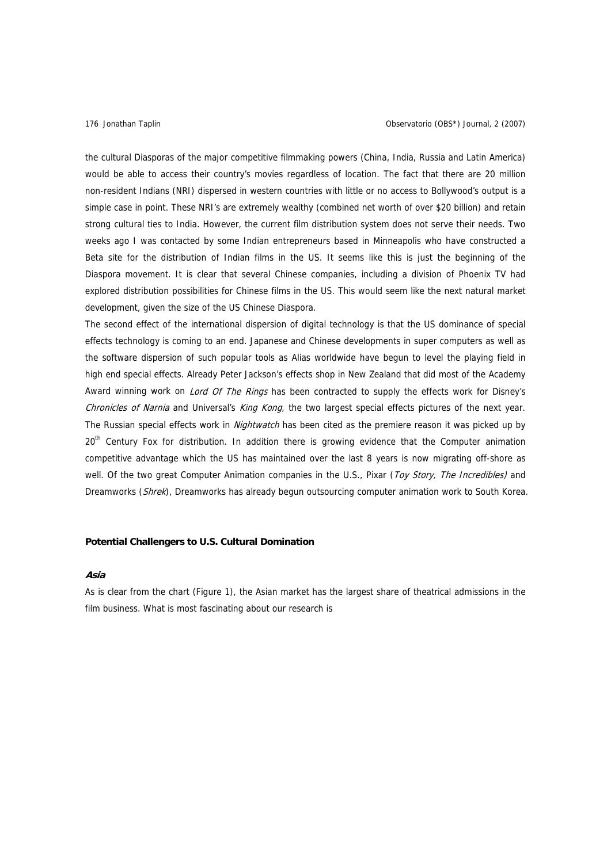the cultural Diasporas of the major competitive filmmaking powers (China, India, Russia and Latin America) would be able to access their country's movies regardless of location. The fact that there are 20 million non-resident Indians (NRI) dispersed in western countries with little or no access to Bollywood's output is a simple case in point. These NRI's are extremely wealthy (combined net worth of over \$20 billion) and retain strong cultural ties to India. However, the current film distribution system does not serve their needs. Two weeks ago I was contacted by some Indian entrepreneurs based in Minneapolis who have constructed a Beta site for the distribution of Indian films in the US. It seems like this is just the beginning of the Diaspora movement. It is clear that several Chinese companies, including a division of Phoenix TV had explored distribution possibilities for Chinese films in the US. This would seem like the next natural market development, given the size of the US Chinese Diaspora.

The second effect of the international dispersion of digital technology is that the US dominance of special effects technology is coming to an end. Japanese and Chinese developments in super computers as well as the software dispersion of such popular tools as Alias worldwide have begun to level the playing field in high end special effects. Already Peter Jackson's effects shop in New Zealand that did most of the Academy Award winning work on *Lord Of The Rings* has been contracted to supply the effects work for Disney's Chronicles of Narnia and Universal's King Kong, the two largest special effects pictures of the next year. The Russian special effects work in *Nightwatch* has been cited as the premiere reason it was picked up by 20<sup>th</sup> Century Fox for distribution. In addition there is growing evidence that the Computer animation competitive advantage which the US has maintained over the last 8 years is now migrating off-shore as well. Of the two great Computer Animation companies in the U.S., Pixar (Toy Story, The Incredibles) and Dreamworks (Shrek), Dreamworks has already begun outsourcing computer animation work to South Korea.

### **Potential Challengers to U.S. Cultural Domination**

### **Asia**

As is clear from the chart (Figure 1), the Asian market has the largest share of theatrical admissions in the film business. What is most fascinating about our research is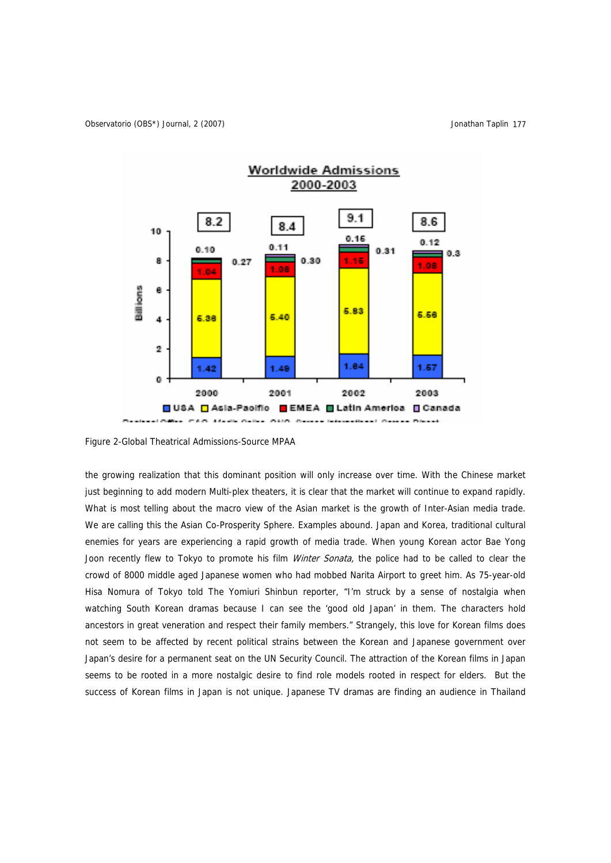

Figure 2-Global Theatrical Admissions-Source MPAA

the growing realization that this dominant position will only increase over time. With the Chinese market just beginning to add modern Multi-plex theaters, it is clear that the market will continue to expand rapidly. What is most telling about the macro view of the Asian market is the growth of Inter-Asian media trade. We are calling this the Asian Co-Prosperity Sphere. Examples abound. Japan and Korea, traditional cultural enemies for years are experiencing a rapid growth of media trade. When young Korean actor Bae Yong Joon recently flew to Tokyo to promote his film *Winter Sonata*, the police had to be called to clear the crowd of 8000 middle aged Japanese women who had mobbed Narita Airport to greet him. As 75-year-old Hisa Nomura of Tokyo told The Yomiuri Shinbun reporter, "I'm struck by a sense of nostalgia when watching South Korean dramas because I can see the 'good old Japan' in them. The characters hold ancestors in great veneration and respect their family members." Strangely, this love for Korean films does not seem to be affected by recent political strains between the Korean and Japanese government over Japan's desire for a permanent seat on the UN Security Council. The attraction of the Korean films in Japan seems to be rooted in a more nostalgic desire to find role models rooted in respect for elders. But the success of Korean films in Japan is not unique. Japanese TV dramas are finding an audience in Thailand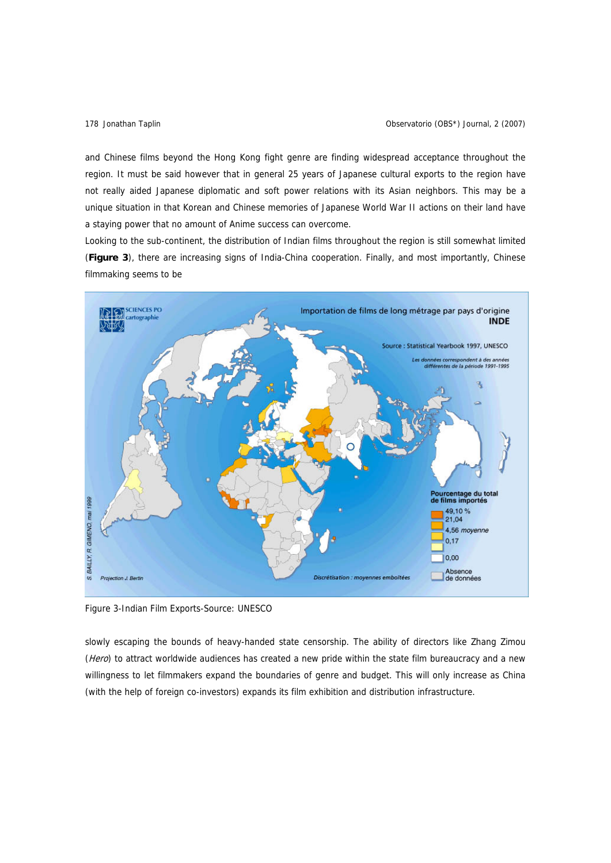and Chinese films beyond the Hong Kong fight genre are finding widespread acceptance throughout the region. It must be said however that in general 25 years of Japanese cultural exports to the region have not really aided Japanese diplomatic and soft power relations with its Asian neighbors. This may be a unique situation in that Korean and Chinese memories of Japanese World War II actions on their land have a staying power that no amount of Anime success can overcome.

Looking to the sub-continent, the distribution of Indian films throughout the region is still somewhat limited (**Figure 3**), there are increasing signs of India-China cooperation. Finally, and most importantly, Chinese filmmaking seems to be



Figure 3-Indian Film Exports-Source: UNESCO

slowly escaping the bounds of heavy-handed state censorship. The ability of directors like Zhang Zimou (Hero) to attract worldwide audiences has created a new pride within the state film bureaucracy and a new willingness to let filmmakers expand the boundaries of genre and budget. This will only increase as China (with the help of foreign co-investors) expands its film exhibition and distribution infrastructure.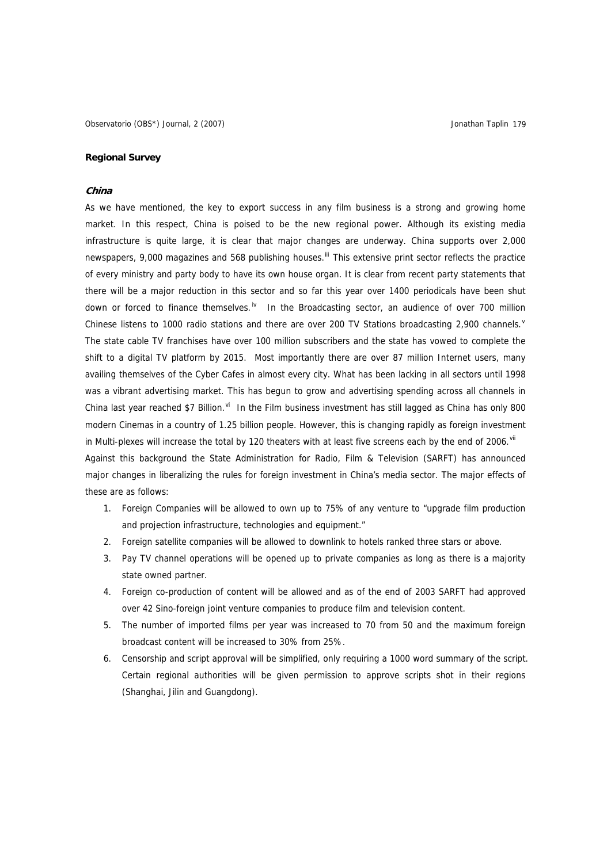### **Regional Survey**

### **China**

As we have mentioned, the key to export success in any film business is a strong and growing home market. In this respect, China is poised to be the new regional power. Although its existing media infrastructure is quite large, it is clear that major changes are underway. China supports over 2,000 newspapers, 9,000 magazines and 568 publishing houses.<sup>[iii](#page-23-1)</sup> This extensive print sector reflects the practice of every ministry and party body to have its own house organ. It is clear from recent party statements that there will be a major reduction in this sector and so far this year over 1400 periodicals have been shut down or forced to finance themselves.<sup>[iv](#page-23-1)</sup> In the Broadcasting sector, an audience of over 700 million Chinese listens to 1000 radio stations and there are o[v](#page-23-1)er 200 TV Stations broadcasting 2,900 channels.<sup>v</sup> The state cable TV franchises have over 100 million subscribers and the state has vowed to complete the shift to a digital TV platform by 2015. Most importantly there are over 87 million Internet users, many availing themselves of the Cyber Cafes in almost every city. What has been lacking in all sectors until 1998 was a vibrant advertising market. This has begun to grow and advertising spending across all channels in China last year reached \$7 Billion. $v_i$  In the Film business investment has still lagged as China has only 800 modern Cinemas in a country of 1.25 billion people. However, this is changing rapidly as foreign investment in Multi-plexes will increase the total by 120 theaters with at least five screens each by the end of 2006. Vii Against this background the State Administration for Radio, Film & Television (SARFT) has announced major changes in liberalizing the rules for foreign investment in China's media sector. The major effects of these are as follows:

- 1. Foreign Companies will be allowed to own up to 75% of any venture to "upgrade film production and projection infrastructure, technologies and equipment."
- 2. Foreign satellite companies will be allowed to downlink to hotels ranked three stars or above.
- 3. Pay TV channel operations will be opened up to private companies as long as there is a majority state owned partner.
- 4. Foreign co-production of content will be allowed and as of the end of 2003 SARFT had approved over 42 Sino-foreign joint venture companies to produce film and television content.
- 5. The number of imported films per year was increased to 70 from 50 and the maximum foreign broadcast content will be increased to 30% from 25%.
- 6. Censorship and script approval will be simplified, only requiring a 1000 word summary of the script. Certain regional authorities will be given permission to approve scripts shot in their regions (Shanghai, Jilin and Guangdong).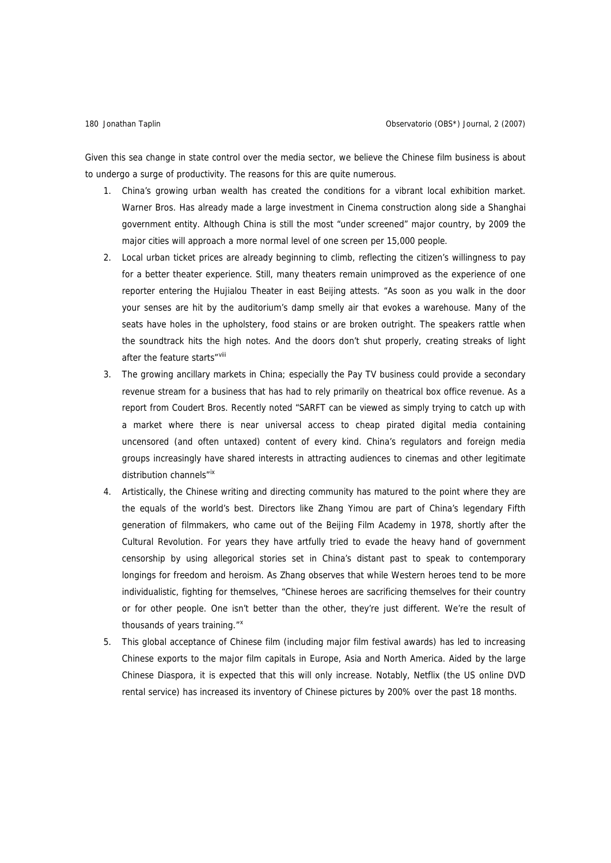Given this sea change in state control over the media sector, we believe the Chinese film business is about to undergo a surge of productivity. The reasons for this are quite numerous.

- 1. China's growing urban wealth has created the conditions for a vibrant local exhibition market. Warner Bros. Has already made a large investment in Cinema construction along side a Shanghai government entity. Although China is still the most "under screened" major country, by 2009 the major cities will approach a more normal level of one screen per 15,000 people.
- 2. Local urban ticket prices are already beginning to climb, reflecting the citizen's willingness to pay for a better theater experience. Still, many theaters remain unimproved as the experience of one reporter entering the Hujialou Theater in east Beijing attests. "As soon as you walk in the door your senses are hit by the auditorium's damp smelly air that evokes a warehouse. Many of the seats have holes in the upholstery, food stains or are broken outright. The speakers rattle when the soundtrack hits the high notes. And the doors don't shut properly, creating streaks of light after the feature starts"<sup>[viii](#page-23-1)</sup>
- 3. The growing ancillary markets in China; especially the Pay TV business could provide a secondary revenue stream for a business that has had to rely primarily on theatrical box office revenue. As a report from Coudert Bros. Recently noted "SARFT can be viewed as simply trying to catch up with a market where there is near universal access to cheap pirated digital media containing uncensored (and often untaxed) content of every kind. China's regulators and foreign media groups increasingly have shared interests in attracting audiences to cinemas and other legitimate distribution channels"<sup>[ix](#page-23-1)</sup>
- 4. Artistically, the Chinese writing and directing community has matured to the point where they are the equals of the world's best. Directors like Zhang Yimou are part of China's legendary Fifth generation of filmmakers, who came out of the Beijing Film Academy in 1978, shortly after the Cultural Revolution. For years they have artfully tried to evade the heavy hand of government censorship by using allegorical stories set in China's distant past to speak to contemporary longings for freedom and heroism. As Zhang observes that while Western heroes tend to be more individualistic, fighting for themselves, "Chinese heroes are sacrificing themselves for their country or for other people. One isn't better than the other, they're just different. We're the result of thousands of years training."<sup>[x](#page-23-1)</sup>
- 5. This global acceptance of Chinese film (including major film festival awards) has led to increasing Chinese exports to the major film capitals in Europe, Asia and North America. Aided by the large Chinese Diaspora, it is expected that this will only increase. Notably, Netflix (the US online DVD rental service) has increased its inventory of Chinese pictures by 200% over the past 18 months.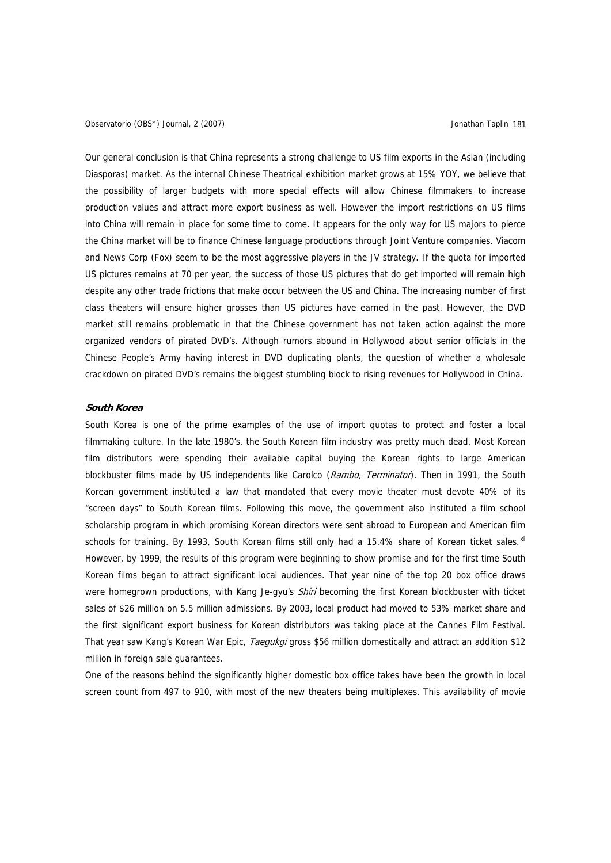Observatorio (OBS\*) Journal, 2 (2007) Jonathan Taplin 181

Our general conclusion is that China represents a strong challenge to US film exports in the Asian (including Diasporas) market. As the internal Chinese Theatrical exhibition market grows at 15% YOY, we believe that the possibility of larger budgets with more special effects will allow Chinese filmmakers to increase production values and attract more export business as well. However the import restrictions on US films into China will remain in place for some time to come. It appears for the only way for US majors to pierce the China market will be to finance Chinese language productions through Joint Venture companies. Viacom and News Corp (Fox) seem to be the most aggressive players in the JV strategy. If the quota for imported US pictures remains at 70 per year, the success of those US pictures that do get imported will remain high despite any other trade frictions that make occur between the US and China. The increasing number of first class theaters will ensure higher grosses than US pictures have earned in the past. However, the DVD market still remains problematic in that the Chinese government has not taken action against the more organized vendors of pirated DVD's. Although rumors abound in Hollywood about senior officials in the Chinese People's Army having interest in DVD duplicating plants, the question of whether a wholesale crackdown on pirated DVD's remains the biggest stumbling block to rising revenues for Hollywood in China.

### **South Korea**

South Korea is one of the prime examples of the use of import quotas to protect and foster a local filmmaking culture. In the late 1980's, the South Korean film industry was pretty much dead. Most Korean film distributors were spending their available capital buying the Korean rights to large American blockbuster films made by US independents like Carolco (Rambo, Terminator). Then in 1991, the South Korean government instituted a law that mandated that every movie theater must devote 40% of its "screen days" to South Korean films. Following this move, the government also instituted a film school scholarship program in which promising Korean directors were sent abroad to European and American film schools for training. By 1993, South Korean films still only had a 15.4% share of Korean ticket sales.<sup>[xi](#page-23-1)</sup> However, by 1999, the results of this program were beginning to show promise and for the first time South Korean films began to attract significant local audiences. That year nine of the top 20 box office draws were homegrown productions, with Kang Je-gyu's Shiri becoming the first Korean blockbuster with ticket sales of \$26 million on 5.5 million admissions. By 2003, local product had moved to 53% market share and the first significant export business for Korean distributors was taking place at the Cannes Film Festival. That year saw Kang's Korean War Epic, Taegukgi gross \$56 million domestically and attract an addition \$12 million in foreign sale guarantees.

One of the reasons behind the significantly higher domestic box office takes have been the growth in local screen count from 497 to 910, with most of the new theaters being multiplexes. This availability of movie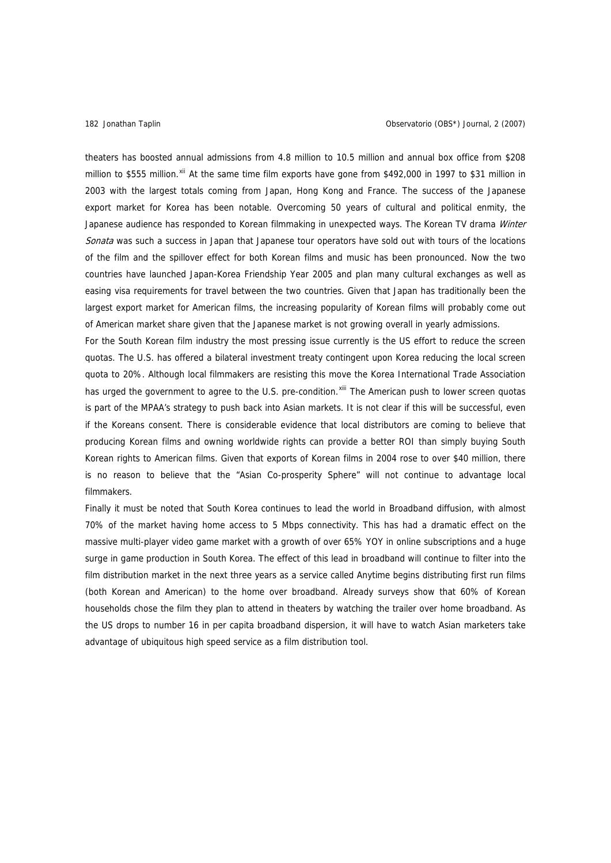theaters has boosted annual admissions from 4.8 million to 10.5 million and annual box office from \$208 million to \$555 million. Xil At the same time film exports have gone from \$492,000 in 1997 to \$31 million in 2003 with the largest totals coming from Japan, Hong Kong and France. The success of the Japanese export market for Korea has been notable. Overcoming 50 years of cultural and political enmity, the Japanese audience has responded to Korean filmmaking in unexpected ways. The Korean TV drama Winter Sonata was such a success in Japan that Japanese tour operators have sold out with tours of the locations of the film and the spillover effect for both Korean films and music has been pronounced. Now the two countries have launched Japan-Korea Friendship Year 2005 and plan many cultural exchanges as well as easing visa requirements for travel between the two countries. Given that Japan has traditionally been the largest export market for American films, the increasing popularity of Korean films will probably come out of American market share given that the Japanese market is not growing overall in yearly admissions.

For the South Korean film industry the most pressing issue currently is the US effort to reduce the screen quotas. The U.S. has offered a bilateral investment treaty contingent upon Korea reducing the local screen quota to 20%. Although local filmmakers are resisting this move the Korea International Trade Association has urged the government to agree to the U.S. pre-condition.<sup>[xiii](#page-23-1)</sup> The American push to lower screen quotas is part of the MPAA's strategy to push back into Asian markets. It is not clear if this will be successful, even if the Koreans consent. There is considerable evidence that local distributors are coming to believe that producing Korean films and owning worldwide rights can provide a better ROI than simply buying South Korean rights to American films. Given that exports of Korean films in 2004 rose to over \$40 million, there is no reason to believe that the "Asian Co-prosperity Sphere" will not continue to advantage local filmmakers.

Finally it must be noted that South Korea continues to lead the world in Broadband diffusion, with almost 70% of the market having home access to 5 Mbps connectivity. This has had a dramatic effect on the massive multi-player video game market with a growth of over 65% YOY in online subscriptions and a huge surge in game production in South Korea. The effect of this lead in broadband will continue to filter into the film distribution market in the next three years as a service called Anytime begins distributing first run films (both Korean and American) to the home over broadband. Already surveys show that 60% of Korean households chose the film they plan to attend in theaters by watching the trailer over home broadband. As the US drops to number 16 in per capita broadband dispersion, it will have to watch Asian marketers take advantage of ubiquitous high speed service as a film distribution tool.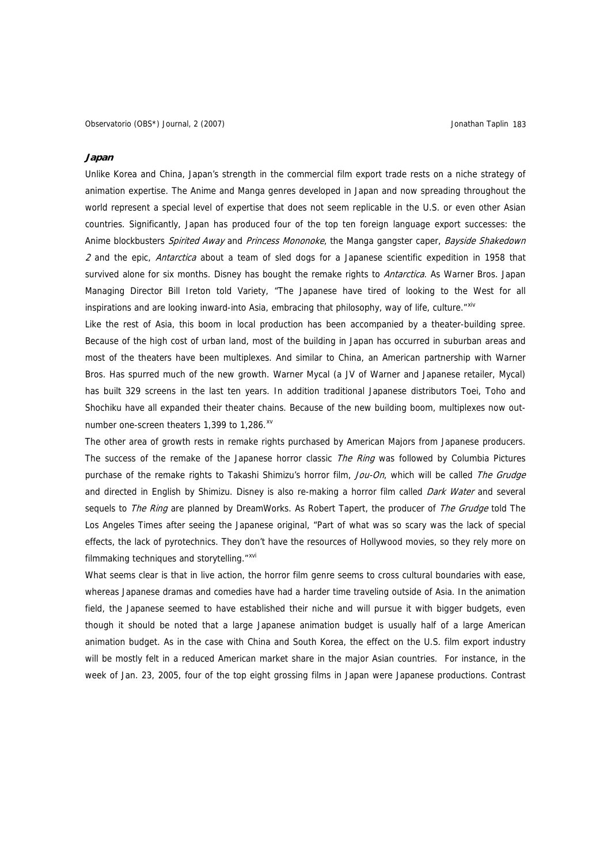### **Japan**

Unlike Korea and China, Japan's strength in the commercial film export trade rests on a niche strategy of animation expertise. The Anime and Manga genres developed in Japan and now spreading throughout the world represent a special level of expertise that does not seem replicable in the U.S. or even other Asian countries. Significantly, Japan has produced four of the top ten foreign language export successes: the Anime blockbusters Spirited Away and Princess Mononoke, the Manga gangster caper, Bayside Shakedown 2 and the epic, *Antarctica* about a team of sled dogs for a Japanese scientific expedition in 1958 that survived alone for six months. Disney has bought the remake rights to *Antarctica*. As Warner Bros. Japan Managing Director Bill Ireton told Variety, "The Japanese have tired of looking to the West for all inspirations and are looking inward-into Asia, embracing that philosophy, way of life, culture."Xiv

Like the rest of Asia, this boom in local production has been accompanied by a theater-building spree. Because of the high cost of urban land, most of the building in Japan has occurred in suburban areas and most of the theaters have been multiplexes. And similar to China, an American partnership with Warner Bros. Has spurred much of the new growth. Warner Mycal (a JV of Warner and Japanese retailer, Mycal) has built 329 screens in the last ten years. In addition traditional Japanese distributors Toei, Toho and Shochiku have all expanded their theater chains. Because of the new building boom, multiplexes now outnumber one-screen theaters 1,399 to 1,286.<sup>[xv](#page-23-1)</sup>

The other area of growth rests in remake rights purchased by American Majors from Japanese producers. The success of the remake of the Japanese horror classic The Ring was followed by Columbia Pictures purchase of the remake rights to Takashi Shimizu's horror film, Jou-On, which will be called The Grudge and directed in English by Shimizu. Disney is also re-making a horror film called *Dark Water* and several sequels to The Ring are planned by DreamWorks. As Robert Tapert, the producer of The Grudge told The Los Angeles Times after seeing the Japanese original, "Part of what was so scary was the lack of special effects, the lack of pyrotechnics. They don't have the resources of Hollywood movies, so they rely more on filmmaking techniques and storytelling."<sup>[xvi](#page-23-1)</sup>

What seems clear is that in live action, the horror film genre seems to cross cultural boundaries with ease, whereas Japanese dramas and comedies have had a harder time traveling outside of Asia. In the animation field, the Japanese seemed to have established their niche and will pursue it with bigger budgets, even though it should be noted that a large Japanese animation budget is usually half of a large American animation budget. As in the case with China and South Korea, the effect on the U.S. film export industry will be mostly felt in a reduced American market share in the major Asian countries. For instance, in the week of Jan. 23, 2005, four of the top eight grossing films in Japan were Japanese productions. Contrast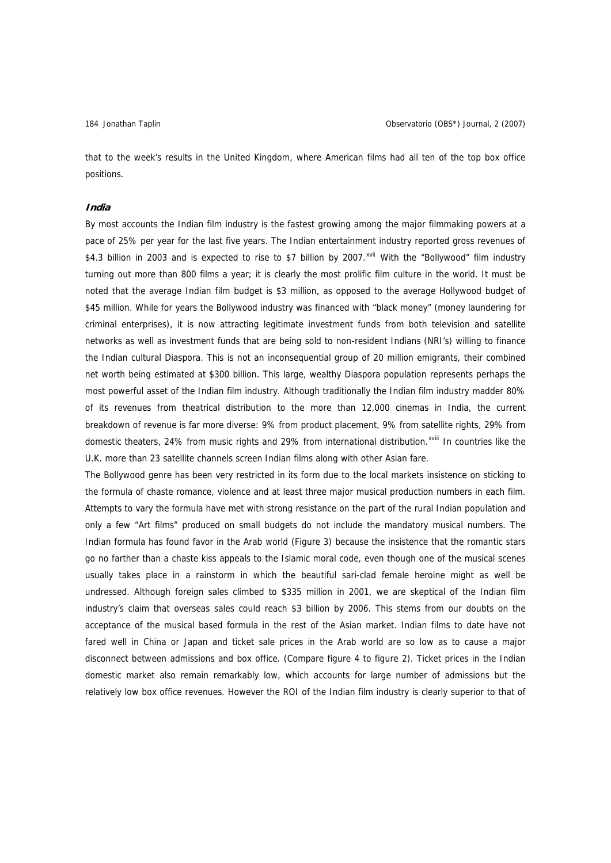that to the week's results in the United Kingdom, where American films had all ten of the top box office positions.

### **India**

By most accounts the Indian film industry is the fastest growing among the major filmmaking powers at a pace of 25% per year for the last five years. The Indian entertainment industry reported gross revenues of \$4.3 billion in 2003 and is expected to rise to \$7 billion by 2007.<sup>[xvii](#page-23-1)</sup> With the "Bollywood" film industry turning out more than 800 films a year; it is clearly the most prolific film culture in the world. It must be noted that the average Indian film budget is \$3 million, as opposed to the average Hollywood budget of \$45 million. While for years the Bollywood industry was financed with "black money" (money laundering for criminal enterprises), it is now attracting legitimate investment funds from both television and satellite networks as well as investment funds that are being sold to non-resident Indians (NRI's) willing to finance the Indian cultural Diaspora. This is not an inconsequential group of 20 million emigrants, their combined net worth being estimated at \$300 billion. This large, wealthy Diaspora population represents perhaps the most powerful asset of the Indian film industry. Although traditionally the Indian film industry madder 80% of its revenues from theatrical distribution to the more than 12,000 cinemas in India, the current breakdown of revenue is far more diverse: 9% from product placement, 9% from satellite rights, 29% from domestic theaters, 24% from music rights and 29% from international distribution.<sup>[xviii](#page-23-1)</sup> In countries like the U.K. more than 23 satellite channels screen Indian films along with other Asian fare.

The Bollywood genre has been very restricted in its form due to the local markets insistence on sticking to the formula of chaste romance, violence and at least three major musical production numbers in each film. Attempts to vary the formula have met with strong resistance on the part of the rural Indian population and only a few "Art films" produced on small budgets do not include the mandatory musical numbers. The Indian formula has found favor in the Arab world (Figure 3) because the insistence that the romantic stars go no farther than a chaste kiss appeals to the Islamic moral code, even though one of the musical scenes usually takes place in a rainstorm in which the beautiful sari-clad female heroine might as well be undressed. Although foreign sales climbed to \$335 million in 2001, we are skeptical of the Indian film industry's claim that overseas sales could reach \$3 billion by 2006. This stems from our doubts on the acceptance of the musical based formula in the rest of the Asian market. Indian films to date have not fared well in China or Japan and ticket sale prices in the Arab world are so low as to cause a major disconnect between admissions and box office. (Compare figure 4 to figure 2). Ticket prices in the Indian domestic market also remain remarkably low, which accounts for large number of admissions but the relatively low box office revenues. However the ROI of the Indian film industry is clearly superior to that of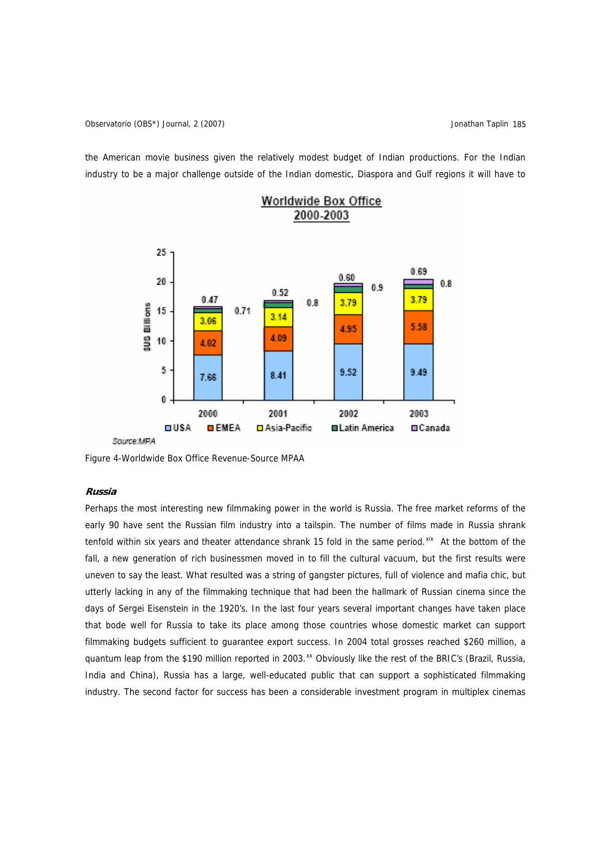the American movie business given the relatively modest budget of Indian productions. For the Indian industry to be a major challenge outside of the Indian domestic, Diaspora and Gulf regions it will have to



# 2000-2003

Figure 4-Worldwide Box Office Revenue-Source MPAA

### **Russia**

Perhaps the most interesting new filmmaking power in the world is Russia. The free market reforms of the early 90 have sent the Russian film industry into a tailspin. The number of films made in Russia shrank tenfold within six years and theater attendance shrank 15 fold in the same period. Xix At the bottom of the fall, a new generation of rich businessmen moved in to fill the cultural vacuum, but the first results were uneven to say the least. What resulted was a string of gangster pictures, full of violence and mafia chic, but utterly lacking in any of the filmmaking technique that had been the hallmark of Russian cinema since the days of Sergei Eisenstein in the 1920's. In the last four years several important changes have taken place that bode well for Russia to take its place among those countries whose domestic market can support filmmaking budgets sufficient to guarantee export success. In 2004 total grosses reached \$260 million, a quantum leap from the \$190 million reported in 2003.<sup>[xx](#page-23-1)</sup> Obviously like the rest of the BRIC's (Brazil, Russia, India and China), Russia has a large, well-educated public that can support a sophisticated filmmaking industry. The second factor for success has been a considerable investment program in multiplex cinemas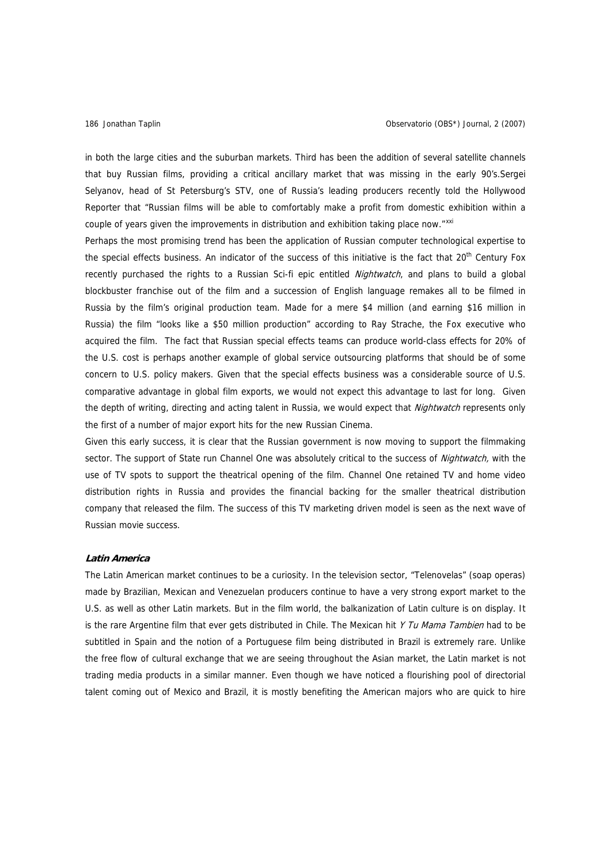in both the large cities and the suburban markets. Third has been the addition of several satellite channels that buy Russian films, providing a critical ancillary market that was missing in the early 90's.Sergei Selyanov, head of St Petersburg's STV, one of Russia's leading producers recently told the Hollywood Reporter that "Russian films will be able to comfortably make a profit from domestic exhibition within a couple of years given the improvements in distribution and exhibition taking place now."XXI

Perhaps the most promising trend has been the application of Russian computer technological expertise to the special effects business. An indicator of the success of this initiative is the fact that 20<sup>th</sup> Century Fox recently purchased the rights to a Russian Sci-fi epic entitled *Nightwatch*, and plans to build a global blockbuster franchise out of the film and a succession of English language remakes all to be filmed in Russia by the film's original production team. Made for a mere \$4 million (and earning \$16 million in Russia) the film "looks like a \$50 million production" according to Ray Strache, the Fox executive who acquired the film. The fact that Russian special effects teams can produce world-class effects for 20% of the U.S. cost is perhaps another example of global service outsourcing platforms that should be of some concern to U.S. policy makers. Given that the special effects business was a considerable source of U.S. comparative advantage in global film exports, we would not expect this advantage to last for long. Given the depth of writing, directing and acting talent in Russia, we would expect that *Nightwatch* represents only the first of a number of major export hits for the new Russian Cinema.

Given this early success, it is clear that the Russian government is now moving to support the filmmaking sector. The support of State run Channel One was absolutely critical to the success of Nightwatch, with the use of TV spots to support the theatrical opening of the film. Channel One retained TV and home video distribution rights in Russia and provides the financial backing for the smaller theatrical distribution company that released the film. The success of this TV marketing driven model is seen as the next wave of Russian movie success.

### **Latin America**

The Latin American market continues to be a curiosity. In the television sector, "Telenovelas" (soap operas) made by Brazilian, Mexican and Venezuelan producers continue to have a very strong export market to the U.S. as well as other Latin markets. But in the film world, the balkanization of Latin culture is on display. It is the rare Argentine film that ever gets distributed in Chile. The Mexican hit Y Tu Mama Tambien had to be subtitled in Spain and the notion of a Portuguese film being distributed in Brazil is extremely rare. Unlike the free flow of cultural exchange that we are seeing throughout the Asian market, the Latin market is not trading media products in a similar manner. Even though we have noticed a flourishing pool of directorial talent coming out of Mexico and Brazil, it is mostly benefiting the American majors who are quick to hire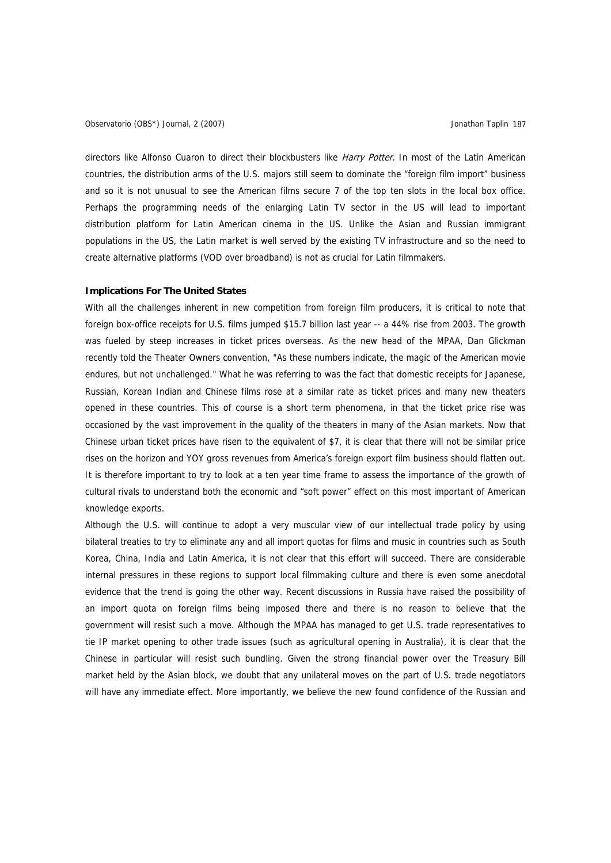Observatorio (OBS\*) Journal, 2 (2007) Jonathan Taplin 187

directors like Alfonso Cuaron to direct their blockbusters like Harry Potter. In most of the Latin American countries, the distribution arms of the U.S. majors still seem to dominate the "foreign film import" business and so it is not unusual to see the American films secure 7 of the top ten slots in the local box office. Perhaps the programming needs of the enlarging Latin TV sector in the US will lead to important distribution platform for Latin American cinema in the US. Unlike the Asian and Russian immigrant populations in the US, the Latin market is well served by the existing TV infrastructure and so the need to create alternative platforms (VOD over broadband) is not as crucial for Latin filmmakers.

### **Implications For The United States**

With all the challenges inherent in new competition from foreign film producers, it is critical to note that foreign box-office receipts for U.S. films jumped \$15.7 billion last year -- a 44% rise from 2003. The growth was fueled by steep increases in ticket prices overseas. As the new head of the MPAA, Dan Glickman recently told the Theater Owners convention, "As these numbers indicate, the magic of the American movie endures, but not unchallenged." What he was referring to was the fact that domestic receipts for Japanese, Russian, Korean Indian and Chinese films rose at a similar rate as ticket prices and many new theaters opened in these countries. This of course is a short term phenomena, in that the ticket price rise was occasioned by the vast improvement in the quality of the theaters in many of the Asian markets. Now that Chinese urban ticket prices have risen to the equivalent of \$7, it is clear that there will not be similar price rises on the horizon and YOY gross revenues from America's foreign export film business should flatten out. It is therefore important to try to look at a ten year time frame to assess the importance of the growth of cultural rivals to understand both the economic and "soft power" effect on this most important of American knowledge exports.

Although the U.S. will continue to adopt a very muscular view of our intellectual trade policy by using bilateral treaties to try to eliminate any and all import quotas for films and music in countries such as South Korea, China, India and Latin America, it is not clear that this effort will succeed. There are considerable internal pressures in these regions to support local filmmaking culture and there is even some anecdotal evidence that the trend is going the other way. Recent discussions in Russia have raised the possibility of an import quota on foreign films being imposed there and there is no reason to believe that the government will resist such a move. Although the MPAA has managed to get U.S. trade representatives to tie IP market opening to other trade issues (such as agricultural opening in Australia), it is clear that the Chinese in particular will resist such bundling. Given the strong financial power over the Treasury Bill market held by the Asian block, we doubt that any unilateral moves on the part of U.S. trade negotiators will have any immediate effect. More importantly, we believe the new found confidence of the Russian and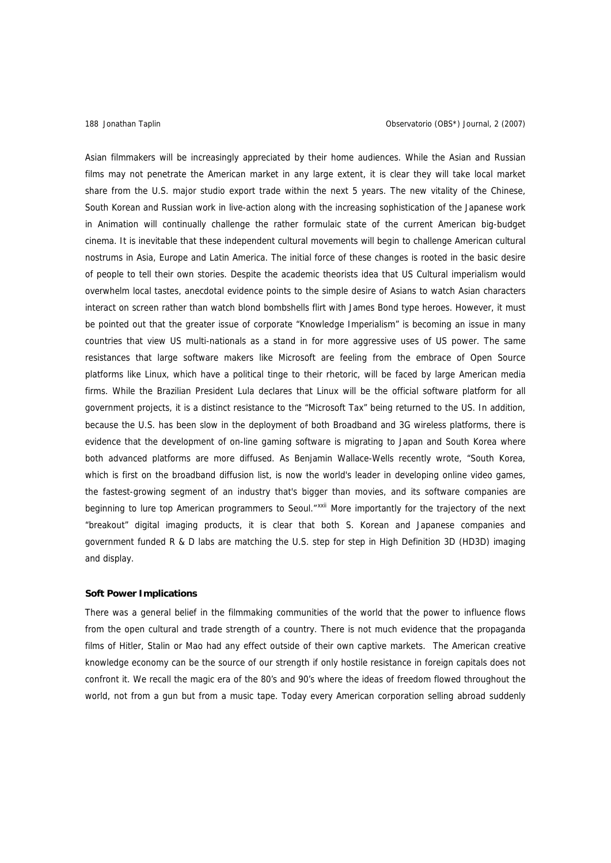Asian filmmakers will be increasingly appreciated by their home audiences. While the Asian and Russian films may not penetrate the American market in any large extent, it is clear they will take local market share from the U.S. major studio export trade within the next 5 years. The new vitality of the Chinese, South Korean and Russian work in live-action along with the increasing sophistication of the Japanese work in Animation will continually challenge the rather formulaic state of the current American big-budget cinema. It is inevitable that these independent cultural movements will begin to challenge American cultural nostrums in Asia, Europe and Latin America. The initial force of these changes is rooted in the basic desire of people to tell their own stories. Despite the academic theorists idea that US Cultural imperialism would overwhelm local tastes, anecdotal evidence points to the simple desire of Asians to watch Asian characters interact on screen rather than watch blond bombshells flirt with James Bond type heroes. However, it must be pointed out that the greater issue of corporate "Knowledge Imperialism" is becoming an issue in many countries that view US multi-nationals as a stand in for more aggressive uses of US power. The same resistances that large software makers like Microsoft are feeling from the embrace of Open Source platforms like Linux, which have a political tinge to their rhetoric, will be faced by large American media firms. While the Brazilian President Lula declares that Linux will be the official software platform for all government projects, it is a distinct resistance to the "Microsoft Tax" being returned to the US. In addition, because the U.S. has been slow in the deployment of both Broadband and 3G wireless platforms, there is evidence that the development of on-line gaming software is migrating to Japan and South Korea where both advanced platforms are more diffused. As Benjamin Wallace-Wells recently wrote, "South Korea, which is first on the broadband diffusion list, is now the world's leader in developing online video games, the fastest-growing segment of an industry that's bigger than movies, and its software companies are beginning to lure top American programmers to Seoul."<sup>[xxii](#page-23-1)</sup> More importantly for the trajectory of the next "breakout" digital imaging products, it is clear that both S. Korean and Japanese companies and government funded R & D labs are matching the U.S. step for step in High Definition 3D (HD3D) imaging and display.

### **Soft Power Implications**

There was a general belief in the filmmaking communities of the world that the power to influence flows from the open cultural and trade strength of a country. There is not much evidence that the propaganda films of Hitler, Stalin or Mao had any effect outside of their own captive markets. The American creative knowledge economy can be the source of our strength if only hostile resistance in foreign capitals does not confront it. We recall the magic era of the 80's and 90's where the ideas of freedom flowed throughout the world, not from a gun but from a music tape. Today every American corporation selling abroad suddenly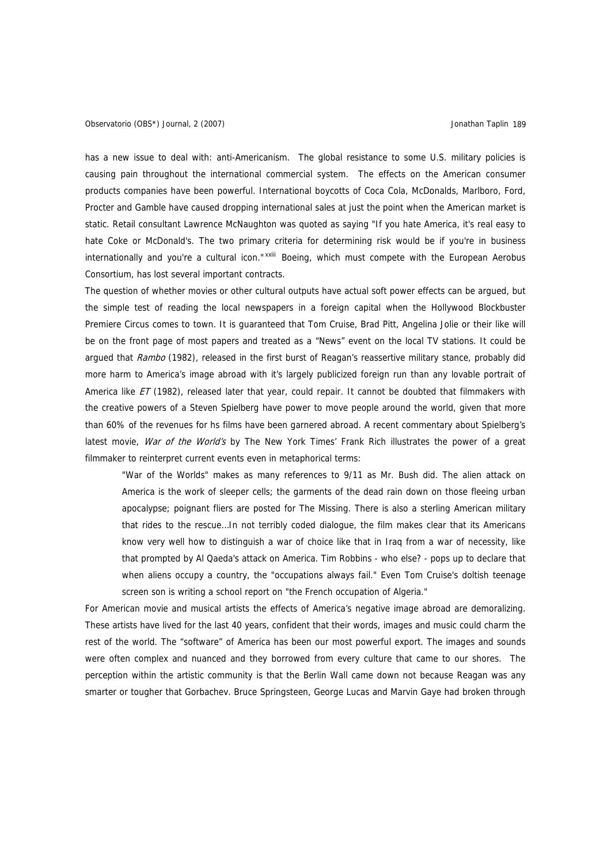has a new issue to deal with: anti-Americanism. The global resistance to some U.S. military policies is causing pain throughout the international commercial system. The effects on the American consumer products companies have been powerful. International boycotts of Coca Cola, McDonalds, Marlboro, Ford, Procter and Gamble have caused dropping international sales at just the point when the American market is static. Retail consultant Lawrence McNaughton was quoted as saying "If you hate America, it's real easy to hate Coke or McDonald's. The two primary criteria for determining risk would be if you're in business internationally and you're a cultural icon."<sup>[xxiii](#page-23-1)</sup> Boeing, which must compete with the European Aerobus Consortium, has lost several important contracts.

The question of whether movies or other cultural outputs have actual soft power effects can be argued, but the simple test of reading the local newspapers in a foreign capital when the Hollywood Blockbuster Premiere Circus comes to town. It is guaranteed that Tom Cruise, Brad Pitt, Angelina Jolie or their like will be on the front page of most papers and treated as a "News" event on the local TV stations. It could be argued that Rambo (1982), released in the first burst of Reagan's reassertive military stance, probably did more harm to America's image abroad with it's largely publicized foreign run than any lovable portrait of America like  $ET$  (1982), released later that year, could repair. It cannot be doubted that filmmakers with the creative powers of a Steven Spielberg have power to move people around the world, given that more than 60% of the revenues for hs films have been garnered abroad. A recent commentary about Spielberg's latest movie, War of the World's by The New York Times' Frank Rich illustrates the power of a great filmmaker to reinterpret current events even in metaphorical terms:

"War of the Worlds" makes as many references to 9/11 as Mr. Bush did. The alien attack on America is the work of sleeper cells; the garments of the dead rain down on those fleeing urban apocalypse; poignant fliers are posted for The Missing. There is also a sterling American military that rides to the rescue…In not terribly coded dialogue, the film makes clear that its Americans know very well how to distinguish a war of choice like that in Iraq from a war of necessity, like that prompted by Al Qaeda's attack on America. Tim Robbins - who else? - pops up to declare that when aliens occupy a country, the "occupations always fail." Even Tom Cruise's doltish teenage screen son is writing a school report on "the French occupation of Algeria."

For American movie and musical artists the effects of America's negative image abroad are demoralizing. These artists have lived for the last 40 years, confident that their words, images and music could charm the rest of the world. The "software" of America has been our most powerful export. The images and sounds were often complex and nuanced and they borrowed from every culture that came to our shores. The perception within the artistic community is that the Berlin Wall came down not because Reagan was any smarter or tougher that Gorbachev. Bruce Springsteen, George Lucas and Marvin Gaye had broken through